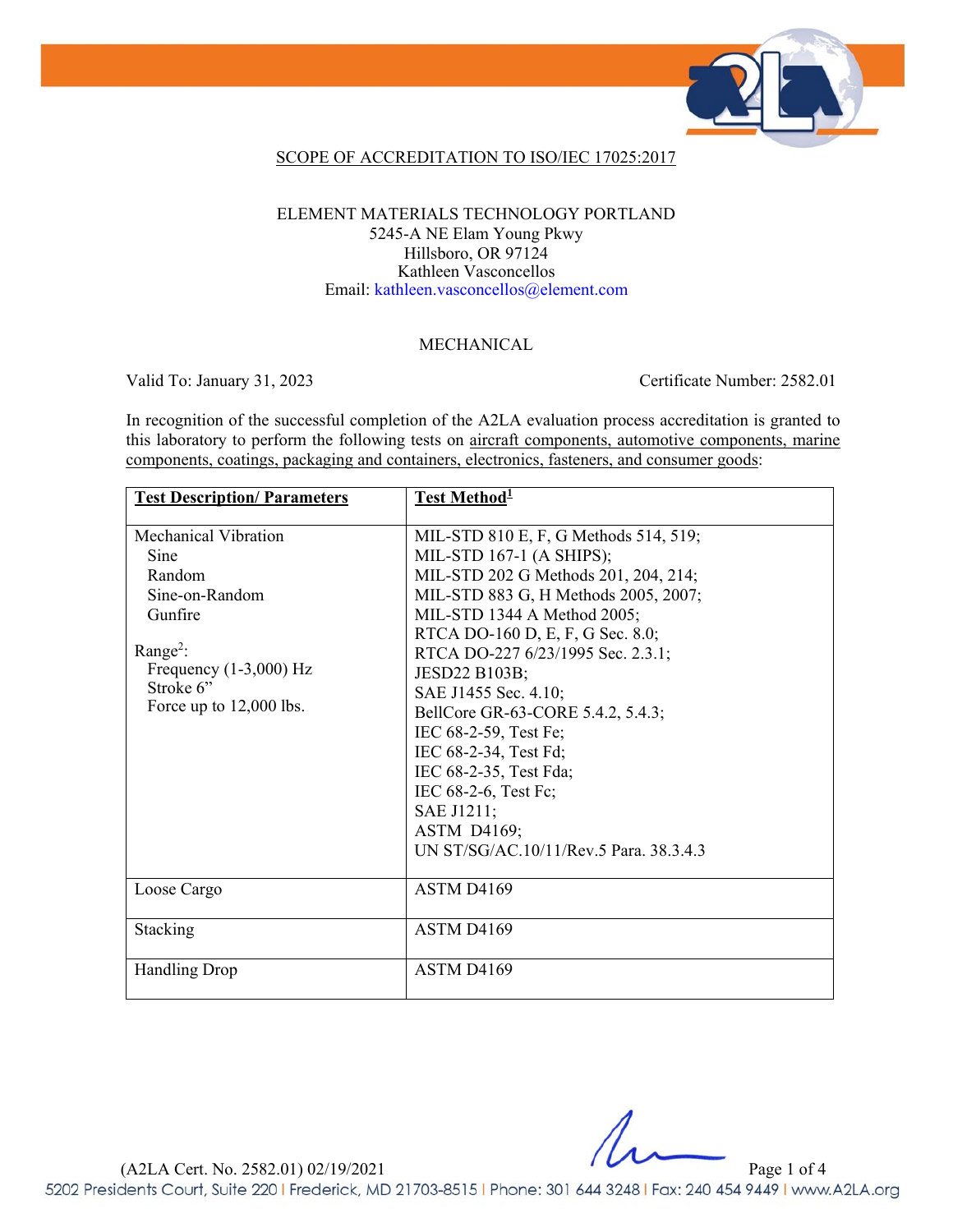

### SCOPE OF ACCREDITATION TO ISO/IEC 17025:2017

#### ELEMENT MATERIALS TECHNOLOGY PORTLAND 5245-A NE Elam Young Pkwy Hillsboro, OR 97124 Kathleen Vasconcellos Email: kathleen.vasconcellos@element.com

### MECHANICAL

Valid To: January 31, 2023 Certificate Number: 2582.01

In recognition of the successful completion of the A2LA evaluation process accreditation is granted to this laboratory to perform the following tests on aircraft components, automotive components, marine components, coatings, packaging and containers, electronics, fasteners, and consumer goods:

| <b>Test Description/ Parameters</b>                                                                                                                                    | <b>Test Method</b> <sup>1</sup>                                                                                                                                                                                                                                                                                                                                                                                                                                                                                                  |
|------------------------------------------------------------------------------------------------------------------------------------------------------------------------|----------------------------------------------------------------------------------------------------------------------------------------------------------------------------------------------------------------------------------------------------------------------------------------------------------------------------------------------------------------------------------------------------------------------------------------------------------------------------------------------------------------------------------|
| <b>Mechanical Vibration</b><br>Sine<br>Random<br>Sine-on-Random<br>Gunfire<br>Range <sup>2</sup> :<br>Frequency $(1-3,000)$ Hz<br>Stroke 6"<br>Force up to 12,000 lbs. | MIL-STD 810 E, F, G Methods 514, 519;<br>MIL-STD 167-1 (A SHIPS);<br>MIL-STD 202 G Methods 201, 204, 214;<br>MIL-STD 883 G, H Methods 2005, 2007;<br>MIL-STD 1344 A Method 2005;<br>RTCA DO-160 D, E, F, G Sec. 8.0;<br>RTCA DO-227 6/23/1995 Sec. 2.3.1;<br><b>JESD22 B103B;</b><br>SAE J1455 Sec. 4.10;<br>BellCore GR-63-CORE 5.4.2, 5.4.3;<br>IEC 68-2-59, Test Fe;<br>IEC 68-2-34, Test Fd;<br>IEC 68-2-35, Test Fda;<br>IEC 68-2-6, Test Fc;<br>SAE J1211;<br><b>ASTM D4169;</b><br>UN ST/SG/AC.10/11/Rev.5 Para. 38.3.4.3 |
| Loose Cargo                                                                                                                                                            | ASTM D4169                                                                                                                                                                                                                                                                                                                                                                                                                                                                                                                       |
| Stacking                                                                                                                                                               | ASTM D4169                                                                                                                                                                                                                                                                                                                                                                                                                                                                                                                       |
| <b>Handling Drop</b>                                                                                                                                                   | ASTM D4169                                                                                                                                                                                                                                                                                                                                                                                                                                                                                                                       |

 (A2LA Cert. No. 2582.01) 02/19/2021 Page 1 of 4 5202 Presidents Court, Suite 220 | Frederick, MD 21703-8515 | Phone: 301 644 3248 | Fax: 240 454 9449 | www.A2LA.org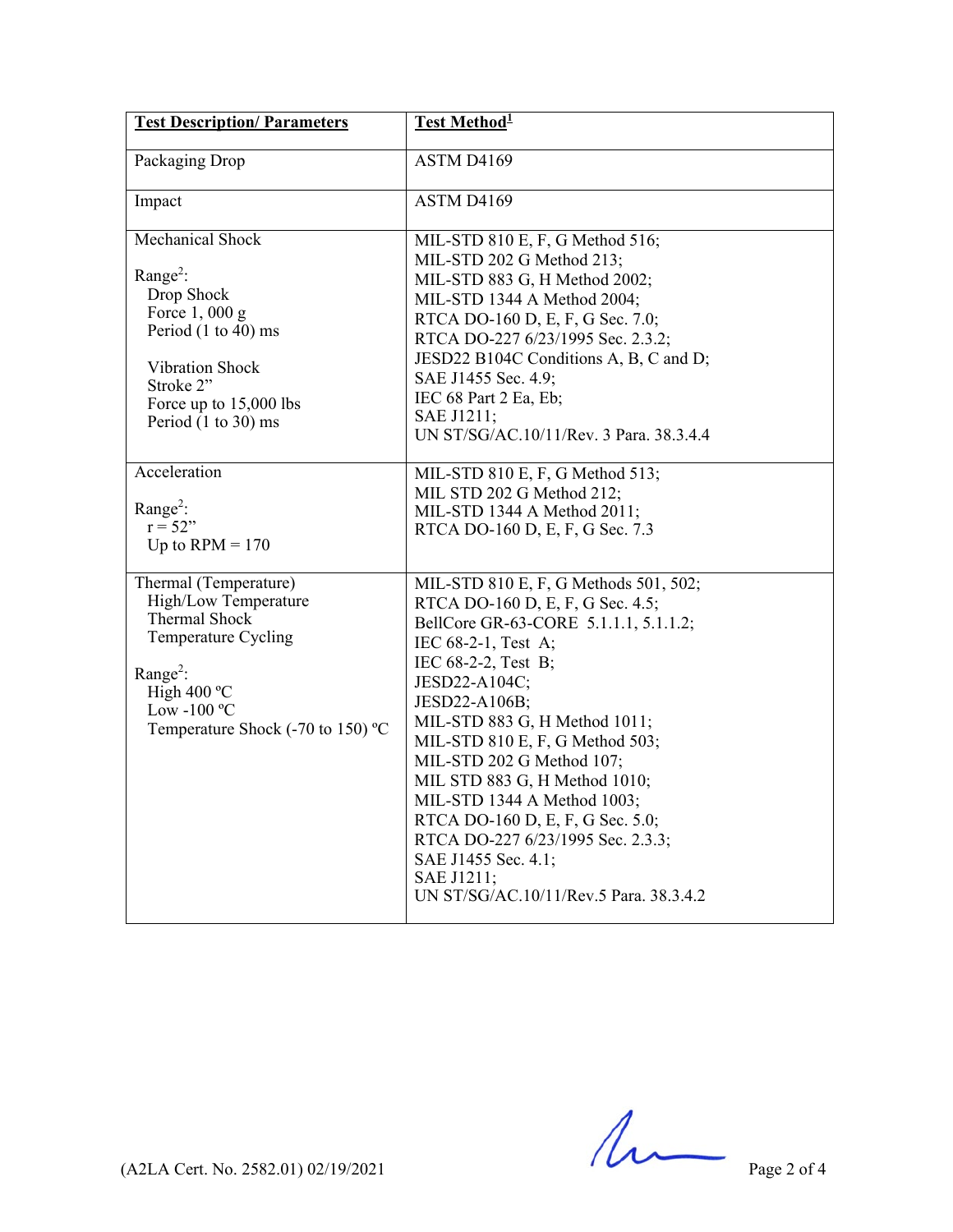| <b>Test Description/Parameters</b>                                                                                                                                                                          | <b>Test Method</b> <sup>1</sup>                                                                                                                                                                                                                                                                                                                                                                                                                                                                                             |
|-------------------------------------------------------------------------------------------------------------------------------------------------------------------------------------------------------------|-----------------------------------------------------------------------------------------------------------------------------------------------------------------------------------------------------------------------------------------------------------------------------------------------------------------------------------------------------------------------------------------------------------------------------------------------------------------------------------------------------------------------------|
| Packaging Drop                                                                                                                                                                                              | ASTM D4169                                                                                                                                                                                                                                                                                                                                                                                                                                                                                                                  |
| Impact                                                                                                                                                                                                      | ASTM D4169                                                                                                                                                                                                                                                                                                                                                                                                                                                                                                                  |
| <b>Mechanical Shock</b><br>Range <sup>2</sup> :<br>Drop Shock<br>Force $1,000$ g<br>Period $(1 \text{ to } 40)$ ms<br>Vibration Shock<br>Stroke 2"<br>Force up to 15,000 lbs<br>Period (1 to 30) ms         | MIL-STD 810 E, F, G Method 516;<br>MIL-STD 202 G Method 213;<br>MIL-STD 883 G, H Method 2002;<br>MIL-STD 1344 A Method 2004;<br>RTCA DO-160 D, E, F, G Sec. 7.0;<br>RTCA DO-227 6/23/1995 Sec. 2.3.2;<br>JESD22 B104C Conditions A, B, C and D;<br>SAE J1455 Sec. 4.9;<br>IEC 68 Part 2 Ea, Eb;<br>SAE J1211;<br>UN ST/SG/AC.10/11/Rev. 3 Para. 38.3.4.4                                                                                                                                                                    |
| Acceleration<br>Range <sup>2</sup> :<br>$r = 52$ "<br>Up to $RPM = 170$                                                                                                                                     | MIL-STD 810 E, F, G Method 513;<br>MIL STD 202 G Method 212;<br>MIL-STD 1344 A Method 2011;<br>RTCA DO-160 D, E, F, G Sec. 7.3                                                                                                                                                                                                                                                                                                                                                                                              |
| Thermal (Temperature)<br>High/Low Temperature<br>Thermal Shock<br>Temperature Cycling<br>Range <sup>2</sup> :<br>High $400^{\circ}$ C<br>Low-100 $\rm ^{o}C$<br>Temperature Shock (-70 to 150) $^{\circ}$ C | MIL-STD 810 E, F, G Methods 501, 502;<br>RTCA DO-160 D, E, F, G Sec. 4.5;<br>BellCore GR-63-CORE 5.1.1.1, 5.1.1.2;<br>IEC 68-2-1, Test A;<br>IEC 68-2-2, Test B;<br>JESD22-A104C;<br>JESD22-A106B;<br>MIL-STD 883 G, H Method 1011;<br>MIL-STD 810 E, F, G Method 503;<br>MIL-STD 202 G Method 107;<br>MIL STD 883 G, H Method 1010;<br>MIL-STD 1344 A Method 1003;<br>RTCA DO-160 D, E, F, G Sec. 5.0;<br>RTCA DO-227 6/23/1995 Sec. 2.3.3;<br>SAE J1455 Sec. 4.1;<br>SAE J1211;<br>UN ST/SG/AC.10/11/Rev.5 Para. 38.3.4.2 |

 $(A2LA$  Cert. No. 2582.01) 02/19/2021 Page 2 of 4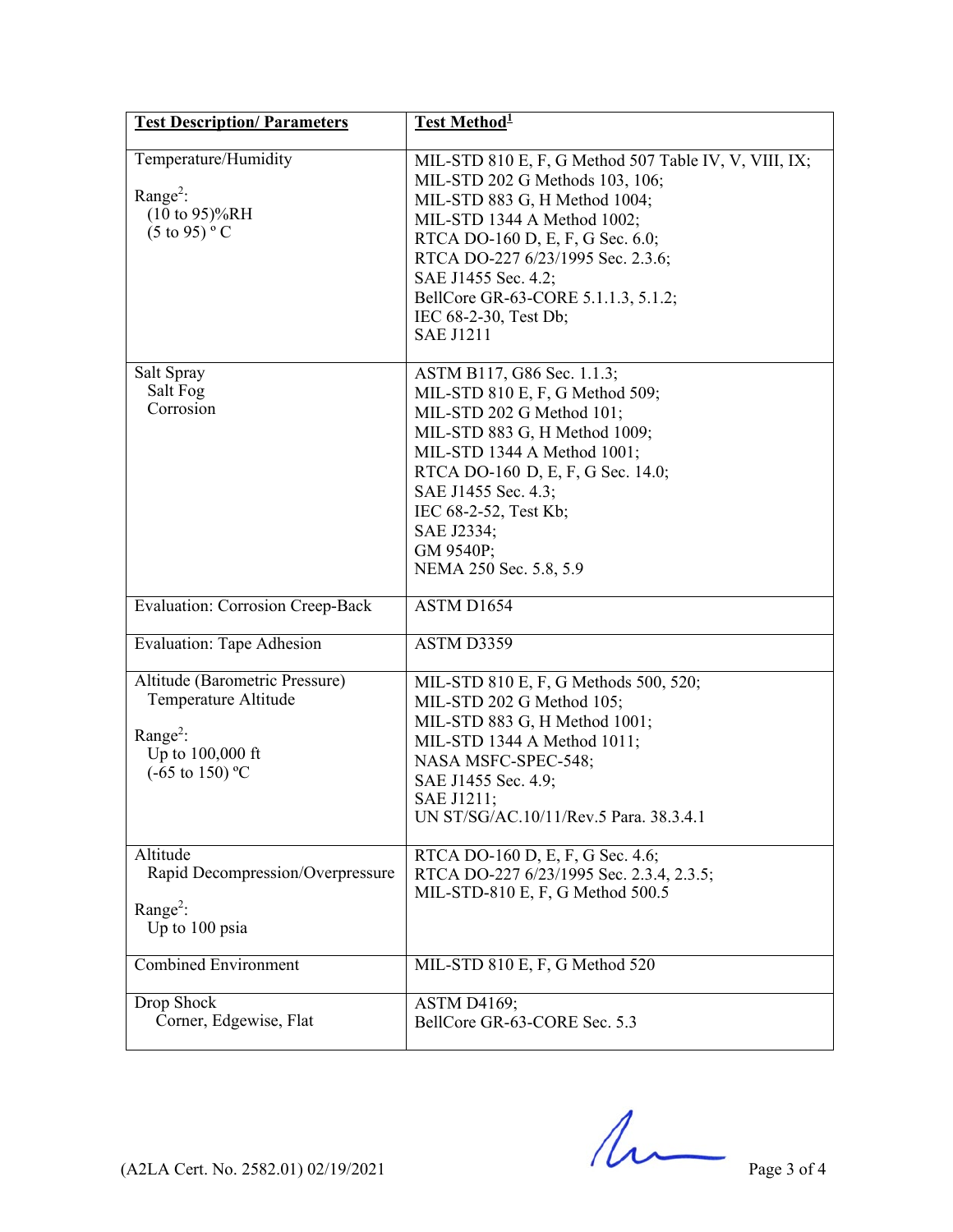| <b>Test Description/Parameters</b>                                                                                               | Test Method <sup>1</sup>                                                                                                                                                                                                                                                                                                                     |
|----------------------------------------------------------------------------------------------------------------------------------|----------------------------------------------------------------------------------------------------------------------------------------------------------------------------------------------------------------------------------------------------------------------------------------------------------------------------------------------|
| Temperature/Humidity<br>Range <sup>2</sup> :<br>(10 to 95)%RH<br>$(5 \text{ to } 95)$ ° C                                        | MIL-STD 810 E, F, G Method 507 Table IV, V, VIII, IX;<br>MIL-STD 202 G Methods 103, 106;<br>MIL-STD 883 G, H Method 1004;<br>MIL-STD 1344 A Method 1002;<br>RTCA DO-160 D, E, F, G Sec. 6.0;<br>RTCA DO-227 6/23/1995 Sec. 2.3.6;<br>SAE J1455 Sec. 4.2;<br>BellCore GR-63-CORE 5.1.1.3, 5.1.2;<br>IEC 68-2-30, Test Db;<br><b>SAE J1211</b> |
| Salt Spray<br>Salt Fog<br>Corrosion                                                                                              | ASTM B117, G86 Sec. 1.1.3;<br>MIL-STD 810 E, F, G Method 509;<br>MIL-STD 202 G Method 101;<br>MIL-STD 883 G, H Method 1009;<br>MIL-STD 1344 A Method 1001;<br>RTCA DO-160 D, E, F, G Sec. 14.0;<br>SAE J1455 Sec. 4.3;<br>IEC 68-2-52, Test Kb;<br>SAE J2334;<br>GM 9540P;<br>NEMA 250 Sec. 5.8, 5.9                                         |
| <b>Evaluation: Corrosion Creep-Back</b>                                                                                          | ASTM D1654                                                                                                                                                                                                                                                                                                                                   |
| <b>Evaluation: Tape Adhesion</b>                                                                                                 | ASTM D3359                                                                                                                                                                                                                                                                                                                                   |
| Altitude (Barometric Pressure)<br>Temperature Altitude<br>Range <sup>2</sup> :<br>Up to 100,000 ft<br>$(-65 \text{ to } 150)$ °C | MIL-STD 810 E, F, G Methods 500, 520;<br>MIL-STD 202 G Method 105;<br>MIL-STD 883 G, H Method 1001;<br>MIL-STD 1344 A Method 1011;<br>NASA MSFC-SPEC-548;<br>SAE J1455 Sec. 4.9;<br>SAE J1211;<br>UN ST/SG/AC.10/11/Rev.5 Para. 38.3.4.1                                                                                                     |
| Altitude<br>Rapid Decompression/Overpressure<br>Range <sup>2</sup> :<br>Up to 100 psia                                           | RTCA DO-160 D, E, F, G Sec. 4.6;<br>RTCA DO-227 6/23/1995 Sec. 2.3.4, 2.3.5;<br>MIL-STD-810 E, F, G Method 500.5                                                                                                                                                                                                                             |
| <b>Combined Environment</b>                                                                                                      | MIL-STD 810 E, F, G Method 520                                                                                                                                                                                                                                                                                                               |
| Drop Shock<br>Corner, Edgewise, Flat                                                                                             | <b>ASTM D4169;</b><br>BellCore GR-63-CORE Sec. 5.3                                                                                                                                                                                                                                                                                           |

 $(22LA$  Cert. No. 2582.01) 02/19/2021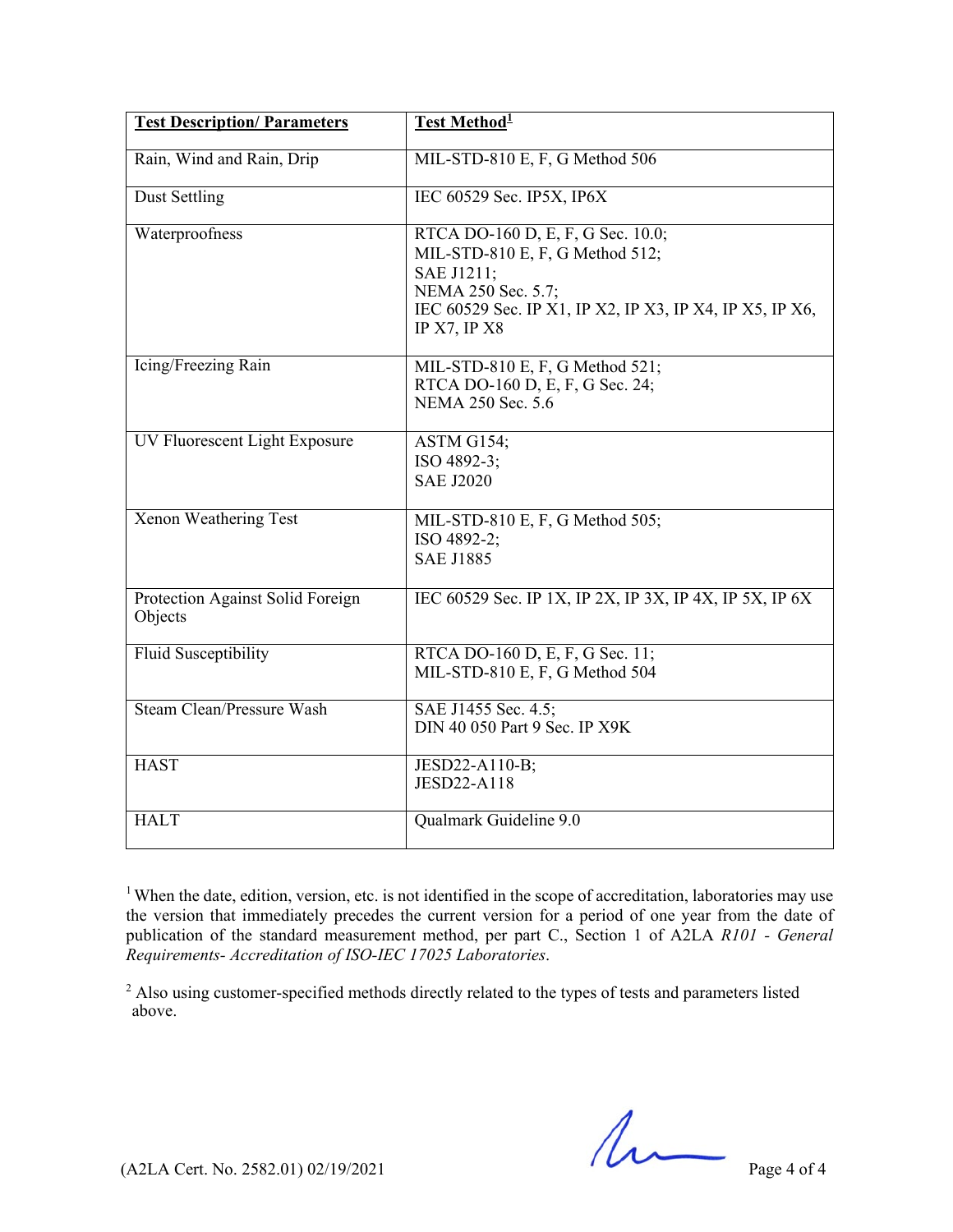| <b>Test Description/Parameters</b>          | <b>Test Method</b> <sup>1</sup>                                                                                                                                                           |
|---------------------------------------------|-------------------------------------------------------------------------------------------------------------------------------------------------------------------------------------------|
| Rain, Wind and Rain, Drip                   | MIL-STD-810 E, F, G Method 506                                                                                                                                                            |
| Dust Settling                               | IEC 60529 Sec. IP5X, IP6X                                                                                                                                                                 |
| Waterproofness                              | RTCA DO-160 D, E, F, G Sec. 10.0;<br>MIL-STD-810 E, F, G Method 512;<br>SAE J1211;<br>NEMA 250 Sec. 5.7;<br>IEC 60529 Sec. IP X1, IP X2, IP X3, IP X4, IP X5, IP X6,<br>IP $X7$ , IP $X8$ |
| Icing/Freezing Rain                         | MIL-STD-810 E, F, G Method 521;<br>RTCA DO-160 D, E, F, G Sec. 24;<br>NEMA 250 Sec. 5.6                                                                                                   |
| UV Fluorescent Light Exposure               | ASTM G154;<br>ISO 4892-3;<br><b>SAE J2020</b>                                                                                                                                             |
| <b>Xenon Weathering Test</b>                | MIL-STD-810 E, F, G Method 505;<br>ISO 4892-2;<br><b>SAE J1885</b>                                                                                                                        |
| Protection Against Solid Foreign<br>Objects | IEC 60529 Sec. IP 1X, IP 2X, IP 3X, IP 4X, IP 5X, IP 6X                                                                                                                                   |
| Fluid Susceptibility                        | RTCA DO-160 D, E, F, G Sec. 11;<br>MIL-STD-810 E, F, G Method 504                                                                                                                         |
| <b>Steam Clean/Pressure Wash</b>            | SAE J1455 Sec. 4.5;<br>DIN 40 050 Part 9 Sec. IP X9K                                                                                                                                      |
| <b>HAST</b>                                 | JESD22-A110-B;<br><b>JESD22-A118</b>                                                                                                                                                      |
| <b>HALT</b>                                 | Qualmark Guideline 9.0                                                                                                                                                                    |

<sup>1</sup> When the date, edition, version, etc. is not identified in the scope of accreditation, laboratories may use the version that immediately precedes the current version for a period of one year from the date of publication of the standard measurement method, per part C., Section 1 of A2LA *R101 - General Requirements- Accreditation of ISO-IEC 17025 Laboratories*.

<sup>2</sup> Also using customer-specified methods directly related to the types of tests and parameters listed above.

 $(42LA$  Cert. No. 2582.01) 02/19/2021